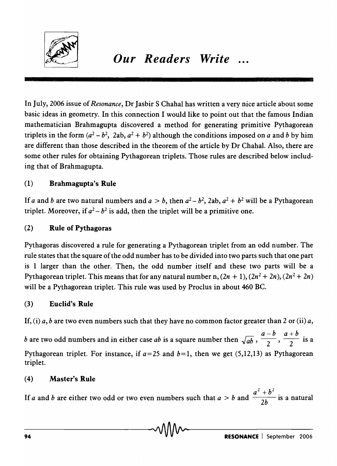

In July, 2006 issue of *Resonance,* Dr Jasbir S Chahal has written a very nice article about some basic ideas in geometry. In this connection I would like to point out that the famous Indian mathematician Brahmagupta discovered a method for generating primitive Pythagorean triplets in the form  $(a^2 - b^2, 2ab, a^2 + b^2)$  although the conditions imposed on *a* and *b* by him are different than those described in the theorem of the article by Dr Chahal. Also, there are some other rules for obtaining Pythagorean triplets. Those rules are described below including that of Brahmagupta.

## (1) Brahmagupta's Rule

If *a* and *b* are two natural numbers and  $a > b$ , then  $a^2 - b^2$ , 2ab,  $a^2 + b^2$  will be a Pythagorean triplet. Moreover, if  $a^2 - b^2$  is add, then the triplet will be a primitive one.

## (2) Rule of Pythagoras

Pythagoras discovered a rule for generating a Pythagorean triplet from an odd number. The rule states that the square of the odd number has to be divided into two parts such that one part is 1 larger than the other. Then, the odd number itself and these two parts will be a Pythagorean triplet. This means that for any natural number n,  $(2n + 1)$ ,  $(2n^2 + 2n)$ ,  $(2n^2 + 2n)$ will be a Pythagorean triplet. This rule was used by Proclus in about 460 BC.

# (3) Euclid's Rule

If, (i)  $a, b$  are two even numbers such that they have no common factor greater than 2 or (ii)  $a$ ,

*b* are two odd numbers and in either case *ab* is a square number then  $\sqrt{ab}$ ,  $\frac{a-b}{2}$ ,  $\frac{a+b}{2}$  is a Pythagorean triplet. For instance, if  $a=25$  and  $b=1$ , then we get (5,12,13) as Pythagorean triplet.

### (4) Master's Rule

If *a* and *b* are either two odd or two even numbers such that  $a > b$  and  $\frac{a^2 + b^2}{2b}$  is a natural